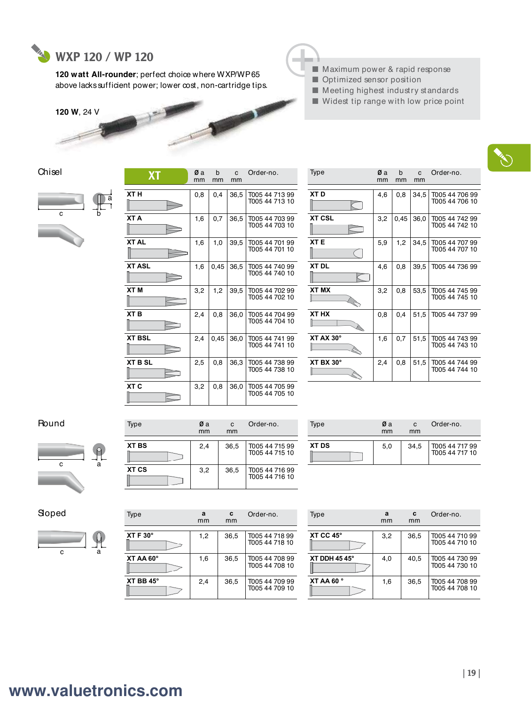

a

b

**120 watt All-rounder**; perfect choice where WXP/WP 65 above lacks sufficient power; lower cost, non-cartridge tips.





- Maximum power & rapid response ■ Optimized sensor position
- Meeting highest industry standards
- Widest tip range with low price point

| Chisel |  |
|--------|--|
|        |  |



| $\mathbf{v}$    | mm  | mm   | mm   |                                  |
|-----------------|-----|------|------|----------------------------------|
| XT H            | 0,8 | 0,4  | 36,5 | T005 44 713 99<br>T005 44 713 10 |
| XT A            | 1,6 | 0,7  | 36,5 | T005 44 703 99<br>T005 44 703 10 |
| <b>XTAL</b>     | 1,6 | 1,0  | 39,5 | T005 44 701 99<br>T005 44 701 10 |
| <b>XT ASL</b>   | 1,6 | 0,45 | 36,5 | T005 44 740 99<br>T005 44 740 10 |
| XT M            | 3,2 | 1,2  | 39,5 | T005 44 702 99<br>T005 44 702 10 |
| XT <sub>B</sub> | 2,4 | 0.8  | 36,0 | T005 44 704 99<br>T005 44 704 10 |
| <b>XT BSL</b>   | 2,4 | 0,45 | 36,0 | T005 44 741 99<br>T005 44 741 10 |
| <b>XT B SL</b>  | 2,5 | 0,8  | 36,3 | T005 44 738 99<br>T005 44 738 10 |
| XT C            | 3,2 | 0.8  | 36,0 | T005 44 705 99<br>T005 44 705 10 |

| <b>XT</b> | Øα<br>mm | b<br>mm | $\mathbf{C}$<br>mm | Order-no.                        | Type                  | Øa<br>mm | b<br>mm | C<br>mm | Order-no.                        |
|-----------|----------|---------|--------------------|----------------------------------|-----------------------|----------|---------|---------|----------------------------------|
|           | 0,8      | 0,4     | 36,5               | T005 44 713 99<br>T005 44 713 10 | XT <sub>D</sub>       | 4,6      | 0,8     | 34,5    | T005 44 706 99<br>T005 44 706 10 |
|           | 1,6      | 0,7     | 36,5               | T005 44 703 99<br>T005 44 703 10 | <b>XT CSL</b>         | 3,2      | 0,45    | 36,0    | T005 44 742 99<br>T005 44 742 10 |
|           | 1,6      | 1,0     | 39,5               | T005 44 701 99<br>T005 44 701 10 | XT <sub>E</sub>       | 5,9      | 1,2     | 34,5    | T005 44 707 99<br>T005 44 707 10 |
|           | 1,6      | 0,45    | 36,5               | T005 44 740 99<br>T005 44 740 10 | <b>XT DL</b>          | 4,6      | 0.8     | 39,5    | T005 44 736 99                   |
|           | 3,2      | 1,2     | 39,5               | T005 44 702 99<br>T005 44 702 10 | <b>XT MX</b>          | 3,2      | 0,8     | 53,5    | T005 44 745 99<br>T005 44 745 10 |
|           | 2,4      | 0,8     | 36,0               | T005 44 704 99<br>T005 44 704 10 | XT HX                 | 0,8      | 0.4     | 51,5    | T005 44 737 99                   |
|           | 2,4      | 0,45    | 36,0               | T005 44 741 99<br>T005 44 741 10 | XT AX 30°             | 1,6      | 0,7     | 51,5    | T005 44 743 99<br>T005 44 743 10 |
| L         | 2,5      | 0,8     | 36,3               | T005 44 738 99<br>T005 44 738 10 | $XT$ BX 30 $^{\circ}$ | 2,4      | 0,8     | 51,5    | T005 44 744 99<br>T005 44 744 10 |

## **Round**



| Type  | Øа<br>mm | C<br>mm | Order-no.                        |
|-------|----------|---------|----------------------------------|
| XT BS | 2,4      | 36.5    | T005 44 715 99<br>T005 44 715 10 |
| XT CS | 3.2      | 36.5    | T005 44 716 99<br>T005 44 716 10 |

| Type         | Øа<br>mm | C<br>mm | Order-no.                        |
|--------------|----------|---------|----------------------------------|
| <b>XT DS</b> | 5.0      | 34,5    | T005 44 717 99<br>T005 44 717 10 |

Sloped



| Type                 | a<br>mm | Order-no. |                                  |
|----------------------|---------|-----------|----------------------------------|
| $XTF30^\circ$        | 1,2     | 36,5      | T005 44 718 99<br>T005 44 718 10 |
| XT AA 60°            | 1,6     | 36,5      | T005 44 708 99<br>T005 44 708 10 |
| $XT$ BB $45^{\circ}$ | 2,4     | 36,5      | T005 44 709 99<br>T005 44 709 10 |

| Type                 | a<br>mm | C<br>mm | Order-no.                        |
|----------------------|---------|---------|----------------------------------|
| XT CC $45^\circ$     | 3,2     | 36,5    | T005 44 710 99<br>T005 44 710 10 |
| <b>XT DDH 45 45°</b> | 4.0     | 40.5    | T005 44 730 99<br>T005 44 730 10 |
| XT AA 60 °           | 1,6     | 36,5    | T005 44 708 99<br>T005 44 708 10 |